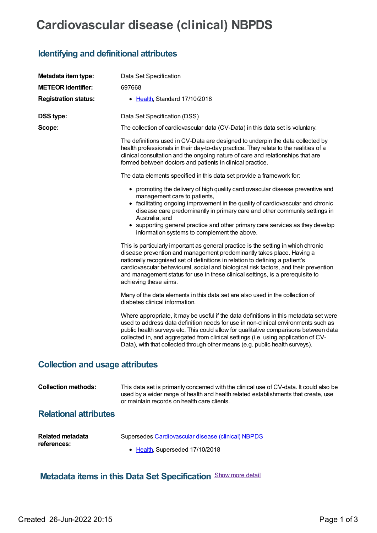## **Cardiovascular disease (clinical) NBPDS**

## **Identifying and definitional attributes**

| Metadata item type:                    | Data Set Specification                                                                                                                                                                                                                                                                                                                                                                                                                         |  |  |  |
|----------------------------------------|------------------------------------------------------------------------------------------------------------------------------------------------------------------------------------------------------------------------------------------------------------------------------------------------------------------------------------------------------------------------------------------------------------------------------------------------|--|--|--|
| <b>METEOR identifier:</b>              | 697668                                                                                                                                                                                                                                                                                                                                                                                                                                         |  |  |  |
| <b>Registration status:</b>            | • Health, Standard 17/10/2018                                                                                                                                                                                                                                                                                                                                                                                                                  |  |  |  |
| <b>DSS type:</b>                       | Data Set Specification (DSS)                                                                                                                                                                                                                                                                                                                                                                                                                   |  |  |  |
| Scope:                                 | The collection of cardiovascular data (CV-Data) in this data set is voluntary.                                                                                                                                                                                                                                                                                                                                                                 |  |  |  |
|                                        | The definitions used in CV-Data are designed to underpin the data collected by<br>health professionals in their day-to-day practice. They relate to the realities of a<br>clinical consultation and the ongoing nature of care and relationships that are<br>formed between doctors and patients in clinical practice.                                                                                                                         |  |  |  |
|                                        | The data elements specified in this data set provide a framework for:                                                                                                                                                                                                                                                                                                                                                                          |  |  |  |
|                                        | • promoting the delivery of high quality cardiovascular disease preventive and<br>management care to patients,<br>• facilitating ongoing improvement in the quality of cardiovascular and chronic                                                                                                                                                                                                                                              |  |  |  |
|                                        | disease care predominantly in primary care and other community settings in<br>Australia, and                                                                                                                                                                                                                                                                                                                                                   |  |  |  |
|                                        | • supporting general practice and other primary care services as they develop<br>information systems to complement the above.                                                                                                                                                                                                                                                                                                                  |  |  |  |
|                                        | This is particularly important as general practice is the setting in which chronic<br>disease prevention and management predominantly takes place. Having a<br>nationally recognised set of definitions in relation to defining a patient's<br>cardiovascular behavioural, social and biological risk factors, and their prevention<br>and management status for use in these clinical settings, is a prerequisite to<br>achieving these aims. |  |  |  |
|                                        | Many of the data elements in this data set are also used in the collection of<br>diabetes clinical information.                                                                                                                                                                                                                                                                                                                                |  |  |  |
|                                        | Where appropriate, it may be useful if the data definitions in this metadata set were<br>used to address data definition needs for use in non-clinical environments such as<br>public health surveys etc. This could allow for qualitative comparisons between data<br>collected in, and aggregated from clinical settings (i.e. using application of CV-<br>Data), with that collected through other means (e.g. public health surveys).      |  |  |  |
| <b>Collection and usage attributes</b> |                                                                                                                                                                                                                                                                                                                                                                                                                                                |  |  |  |
| <b>Collection methods:</b>             | This data set is primarily concerned with the clinical use of CV-data. It could also be<br>used by a wider range of health and health related establishments that create, use                                                                                                                                                                                                                                                                  |  |  |  |

## **Relational attributes**

| Related metadata | Supersedes Cardiovascular disease (clinical) NBPDS |
|------------------|----------------------------------------------------|
| references:      | • Health, Superseded 17/10/2018                    |

or maintain records on health care clients.

## **Metadata items in this Data Set Specification** Show more detail